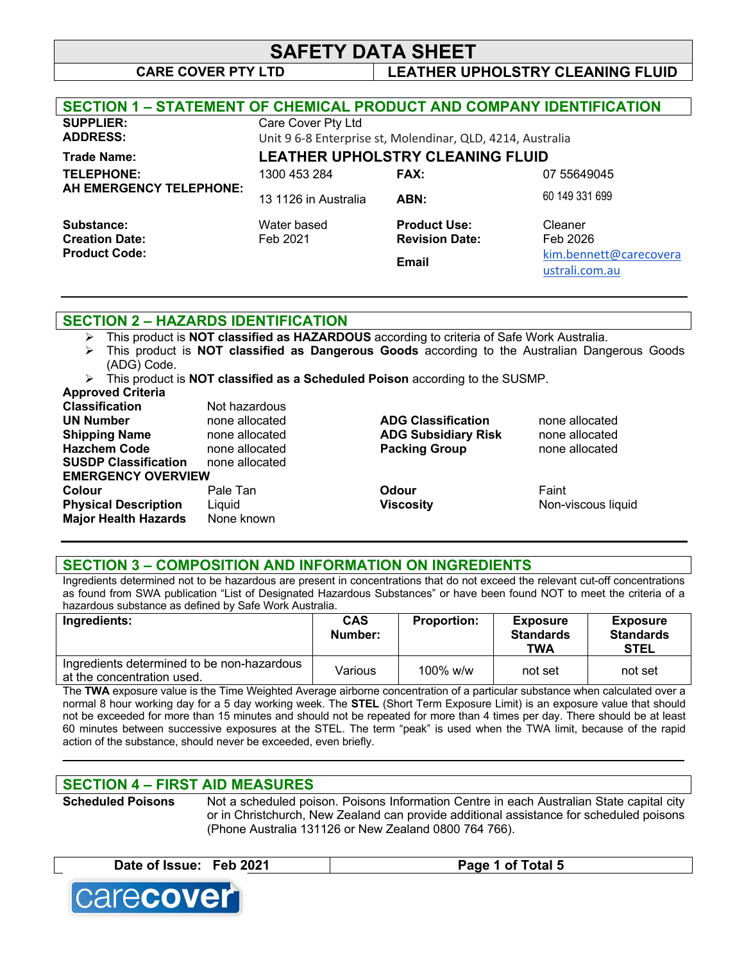# **SAFETY DATA SHEET**

## **CARE COVER PTY LTD LEATHER UPHOLSTRY CLEANING FLUID**

| <b>SECTION 1 - STATEMENT OF CHEMICAL PRODUCT AND COMPANY IDENTIFICATION</b> |                                                            |                       |                        |
|-----------------------------------------------------------------------------|------------------------------------------------------------|-----------------------|------------------------|
| <b>SUPPLIER:</b>                                                            | Care Cover Pty Ltd                                         |                       |                        |
| <b>ADDRESS:</b>                                                             | Unit 9 6-8 Enterprise st, Molendinar, QLD, 4214, Australia |                       |                        |
| <b>Trade Name:</b>                                                          | <b>LEATHER UPHOLSTRY CLEANING FLUID</b>                    |                       |                        |
| TELEPHONE:                                                                  | 1300 453 284                                               | <b>FAX:</b>           | 07 55649045            |
| AH EMERGENCY TELEPHONE:                                                     | 13 1126 in Australia                                       | ABN:                  | 60 149 331 699         |
| Substance:                                                                  | Water based                                                | <b>Product Use:</b>   | Cleaner                |
| <b>Creation Date:</b>                                                       | Feb 2021                                                   | <b>Revision Date:</b> | Feb 2026               |
| <b>Product Code:</b>                                                        |                                                            | Email                 | kim.bennett@carecovera |
|                                                                             |                                                            |                       | ustrali.com.au         |

## **SECTION 2 – HAZARDS IDENTIFICATION**

- Ø This product is **NOT classified as HAZARDOUS** according to criteria of Safe Work Australia.
- Ø This product is **NOT classified as Dangerous Goods** according to the Australian Dangerous Goods (ADG) Code.
- Ø This product is **NOT classified as a Scheduled Poison** according to the SUSMP.

#### **Approved Criteria**

| <b>Classification</b>       | Not hazardous  |                            |                    |
|-----------------------------|----------------|----------------------------|--------------------|
| <b>UN Number</b>            | none allocated | <b>ADG Classification</b>  | none allocated     |
| <b>Shipping Name</b>        | none allocated | <b>ADG Subsidiary Risk</b> | none allocated     |
| <b>Hazchem Code</b>         | none allocated | <b>Packing Group</b>       | none allocated     |
| <b>SUSDP Classification</b> | none allocated |                            |                    |
| <b>EMERGENCY OVERVIEW</b>   |                |                            |                    |
| Colour                      | Pale Tan       | Odour                      | Faint              |
| <b>Physical Description</b> | Liquid         | <b>Viscosity</b>           | Non-viscous liquid |
| <b>Major Health Hazards</b> | None known     |                            |                    |
|                             |                |                            |                    |

### **SECTION 3 – COMPOSITION AND INFORMATION ON INGREDIENTS**

Ingredients determined not to be hazardous are present in concentrations that do not exceed the relevant cut-off concentrations as found from SWA publication "List of Designated Hazardous Substances" or have been found NOT to meet the criteria of a hazardous substance as defined by Safe Work Australia.

| Ingredients:                                                             | <b>CAS</b><br>Number: | <b>Proportion:</b> | <b>Exposure</b><br><b>Standards</b><br>TWA | <b>Exposure</b><br><b>Standards</b><br><b>STEL</b> |
|--------------------------------------------------------------------------|-----------------------|--------------------|--------------------------------------------|----------------------------------------------------|
| Ingredients determined to be non-hazardous<br>at the concentration used. | Various               | $100\%$ w/w        | not set                                    | not set                                            |

The **TWA** exposure value is the Time Weighted Average airborne concentration of a particular substance when calculated over a normal 8 hour working day for a 5 day working week. The **STEL** (Short Term Exposure Limit) is an exposure value that should not be exceeded for more than 15 minutes and should not be repeated for more than 4 times per day. There should be at least 60 minutes between successive exposures at the STEL. The term "peak" is used when the TWA limit, because of the rapid action of the substance, should never be exceeded, even briefly.

**\_\_\_\_\_\_\_\_\_\_\_\_\_\_\_\_\_\_\_\_\_\_\_\_\_\_\_\_\_\_\_\_\_\_\_\_\_\_\_\_\_\_\_\_\_\_\_\_\_\_\_\_\_\_\_\_\_\_\_\_\_\_\_\_\_\_\_\_\_\_\_\_\_\_\_\_\_\_\_\_\_\_\_\_\_\_\_\_\_\_\_\_**

# **SECTION 4 – FIRST AID MEASURES**

**Scheduled Poisons** Not a scheduled poison. Poisons Information Centre in each Australian State capital city or in Christchurch, New Zealand can provide additional assistance for scheduled poisons (Phone Australia 131126 or New Zealand 0800 764 766).

**Date of Issue: Feb 2021 Page 1 of Total 5**

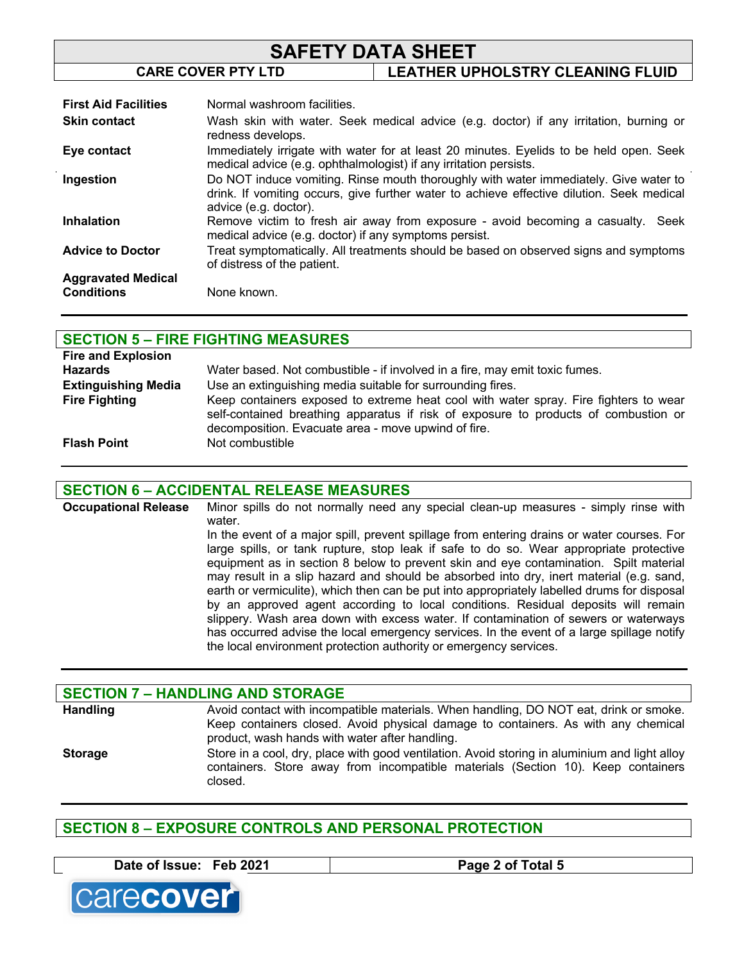# **SAFETY DATA SHEET CARE COVER PTY LTD LEATHER UPHOLSTRY CLEANING FLUID**

| <b>First Aid Facilities</b>                    | Normal washroom facilities.                                                                                                                                                                                |
|------------------------------------------------|------------------------------------------------------------------------------------------------------------------------------------------------------------------------------------------------------------|
| <b>Skin contact</b>                            | Wash skin with water. Seek medical advice (e.g. doctor) if any irritation, burning or<br>redness develops.                                                                                                 |
| Eye contact                                    | Immediately irrigate with water for at least 20 minutes. Eyelids to be held open. Seek<br>medical advice (e.g. ophthalmologist) if any irritation persists.                                                |
| Ingestion                                      | Do NOT induce vomiting. Rinse mouth thoroughly with water immediately. Give water to<br>drink. If vomiting occurs, give further water to achieve effective dilution. Seek medical<br>advice (e.g. doctor). |
| <b>Inhalation</b>                              | Remove victim to fresh air away from exposure - avoid becoming a casualty. Seek<br>medical advice (e.g. doctor) if any symptoms persist.                                                                   |
| <b>Advice to Doctor</b>                        | Treat symptomatically. All treatments should be based on observed signs and symptoms<br>of distress of the patient.                                                                                        |
| <b>Aggravated Medical</b><br><b>Conditions</b> | None known.                                                                                                                                                                                                |

## **SECTION 5 – FIRE FIGHTING MEASURES**

| <b>Fire and Explosion</b>  |                                                                                                                                                                                                                                    |
|----------------------------|------------------------------------------------------------------------------------------------------------------------------------------------------------------------------------------------------------------------------------|
| Hazards                    | Water based. Not combustible - if involved in a fire, may emit toxic fumes.                                                                                                                                                        |
| <b>Extinguishing Media</b> | Use an extinguishing media suitable for surrounding fires.                                                                                                                                                                         |
| <b>Fire Fighting</b>       | Keep containers exposed to extreme heat cool with water spray. Fire fighters to wear<br>self-contained breathing apparatus if risk of exposure to products of combustion or<br>decomposition. Evacuate area - move upwind of fire. |
| <b>Flash Point</b>         | Not combustible                                                                                                                                                                                                                    |

## **SECTION 6 – ACCIDENTAL RELEASE MEASURES**

**Occupational Release** Minor spills do not normally need any special clean-up measures - simply rinse with water. In the event of a major spill, prevent spillage from entering drains or water courses. For

large spills, or tank rupture, stop leak if safe to do so. Wear appropriate protective equipment as in section 8 below to prevent skin and eye contamination. Spilt material may result in a slip hazard and should be absorbed into dry, inert material (e.g. sand, earth or vermiculite), which then can be put into appropriately labelled drums for disposal by an approved agent according to local conditions. Residual deposits will remain slippery. Wash area down with excess water. If contamination of sewers or waterways has occurred advise the local emergency services. In the event of a large spillage notify the local environment protection authority or emergency services.

## **SECTION 7 – HANDLING AND STORAGE** Handling **Avoid contact with incompatible materials. When handling, DO NOT eat, drink or smoke.** Keep containers closed. Avoid physical damage to containers. As with any chemical product, wash hands with water after handling. **Storage** Store in a cool, dry, place with good ventilation. Avoid storing in aluminium and light alloy containers. Store away from incompatible materials (Section 10). Keep containers closed.

# **SECTION 8 – EXPOSURE CONTROLS AND PERSONAL PROTECTION**

**Date of Issue: Feb 2021 Page 2 of Total 5**

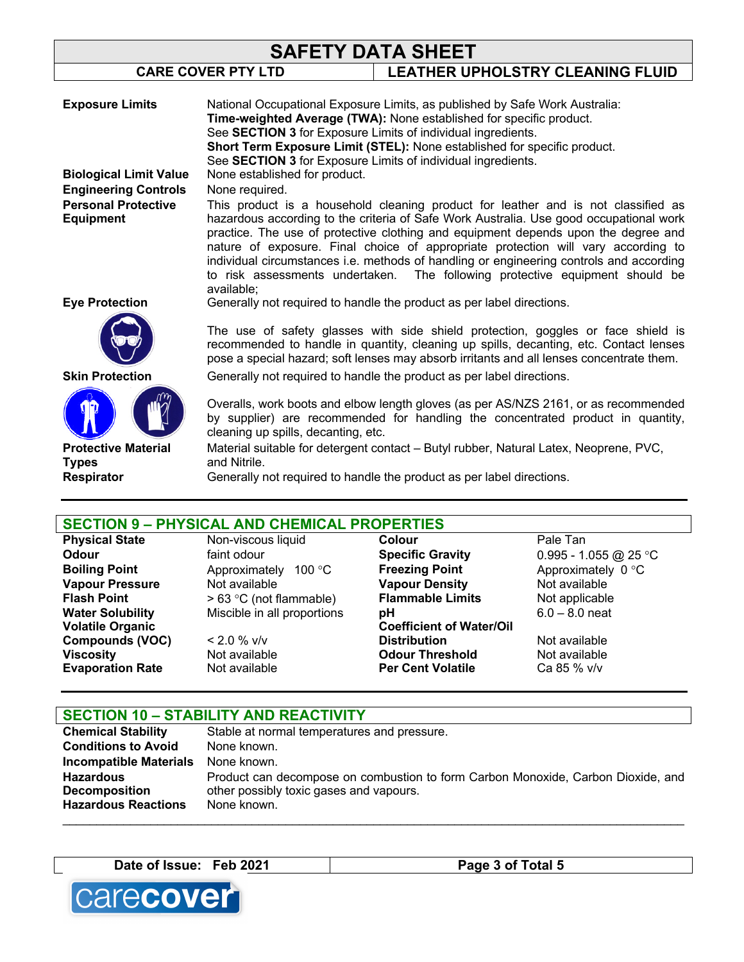| <b>SAFETY DATA SHEET</b>                                        |                                                                          |                                                                                                                                                                                                                                                                                                                                                                                                                                                                                                                                   |
|-----------------------------------------------------------------|--------------------------------------------------------------------------|-----------------------------------------------------------------------------------------------------------------------------------------------------------------------------------------------------------------------------------------------------------------------------------------------------------------------------------------------------------------------------------------------------------------------------------------------------------------------------------------------------------------------------------|
| <b>CARE COVER PTY LTD</b>                                       |                                                                          | LEATHER UPHOLSTRY CLEANING FLUID                                                                                                                                                                                                                                                                                                                                                                                                                                                                                                  |
| <b>Exposure Limits</b>                                          |                                                                          | National Occupational Exposure Limits, as published by Safe Work Australia:                                                                                                                                                                                                                                                                                                                                                                                                                                                       |
|                                                                 |                                                                          | Time-weighted Average (TWA): None established for specific product.                                                                                                                                                                                                                                                                                                                                                                                                                                                               |
|                                                                 | See SECTION 3 for Exposure Limits of individual ingredients.             |                                                                                                                                                                                                                                                                                                                                                                                                                                                                                                                                   |
|                                                                 | Short Term Exposure Limit (STEL): None established for specific product. |                                                                                                                                                                                                                                                                                                                                                                                                                                                                                                                                   |
|                                                                 | See SECTION 3 for Exposure Limits of individual ingredients.             |                                                                                                                                                                                                                                                                                                                                                                                                                                                                                                                                   |
| <b>Biological Limit Value</b>                                   | None established for product.                                            |                                                                                                                                                                                                                                                                                                                                                                                                                                                                                                                                   |
| <b>Engineering Controls</b>                                     | None required.                                                           |                                                                                                                                                                                                                                                                                                                                                                                                                                                                                                                                   |
| <b>Personal Protective</b><br><b>Equipment</b>                  | available;                                                               | This product is a household cleaning product for leather and is not classified as<br>hazardous according to the criteria of Safe Work Australia. Use good occupational work<br>practice. The use of protective clothing and equipment depends upon the degree and<br>nature of exposure. Final choice of appropriate protection will vary according to<br>individual circumstances i.e. methods of handling or engineering controls and according<br>to risk assessments undertaken. The following protective equipment should be |
| <b>Eye Protection</b>                                           |                                                                          | Generally not required to handle the product as per label directions.                                                                                                                                                                                                                                                                                                                                                                                                                                                             |
|                                                                 |                                                                          | The use of safety glasses with side shield protection, goggles or face shield is<br>recommended to handle in quantity, cleaning up spills, decanting, etc. Contact lenses<br>pose a special hazard; soft lenses may absorb irritants and all lenses concentrate them.                                                                                                                                                                                                                                                             |
| <b>Skin Protection</b>                                          |                                                                          | Generally not required to handle the product as per label directions.                                                                                                                                                                                                                                                                                                                                                                                                                                                             |
| <b>Protective Material</b><br><b>Types</b><br><b>Respirator</b> | cleaning up spills, decanting, etc.<br>and Nitrile.                      | Overalls, work boots and elbow length gloves (as per AS/NZS 2161, or as recommended<br>by supplier) are recommended for handling the concentrated product in quantity,<br>Material suitable for detergent contact – Butyl rubber, Natural Latex, Neoprene, PVC,<br>Generally not required to handle the product as per label directions.                                                                                                                                                                                          |
|                                                                 |                                                                          |                                                                                                                                                                                                                                                                                                                                                                                                                                                                                                                                   |

# **SECTION 9 – PHYSICAL AND CHEMICAL PROPERTIES**

**Volatile Organic Compounds (VOC)**  $\le$  2.0 % v/v<br> **Viscosity Not available Evaporation Rate** 

**Odour** faint odour **Specific Gravity** 0.995 - 1.055 @ 25 °C **Boiling Point Approximately 100 °C Freezing Point Approximately 0 °C Vapour Pressure** Not available **Vapour Density** Not available<br> **Flash Point** > 63 °C (not flammable) **Flammable Limits** Not applicable **Flammable** > 63 °C (not flammable) **Flammable Limits** Not applicable Water Solubility Miscible in all proportions pH 6.0 – 8.0 neat

**Physical State Non-viscous liquid Colour Colour** Pale Tan **Odour Pale Tan Colour Colour Pale Tan Colour Colour Colour Colour Colour Colour Colour Colour Colour Colour Colour Colour Coefficient of Water/Oil Distribution** Not available **Viscosity Not available Odour Threshold** Mot available<br> **Evaporation Rate** Mot available **Per Cent Volatile** Ca 85 % v/v

| <b>SECTION 10 - STABILITY AND REACTIVITY</b> |                                                                                  |  |  |
|----------------------------------------------|----------------------------------------------------------------------------------|--|--|
| <b>Chemical Stability</b>                    | Stable at normal temperatures and pressure.                                      |  |  |
| <b>Conditions to Avoid</b>                   | None known.                                                                      |  |  |
| <b>Incompatible Materials</b>                | None known.                                                                      |  |  |
| <b>Hazardous</b>                             | Product can decompose on combustion to form Carbon Monoxide, Carbon Dioxide, and |  |  |
| <b>Decomposition</b>                         | other possibly toxic gases and vapours.                                          |  |  |
| <b>Hazardous Reactions</b>                   | None known.                                                                      |  |  |
|                                              |                                                                                  |  |  |

**Date of Issue: Feb 2021 Page 3 of Total 5**

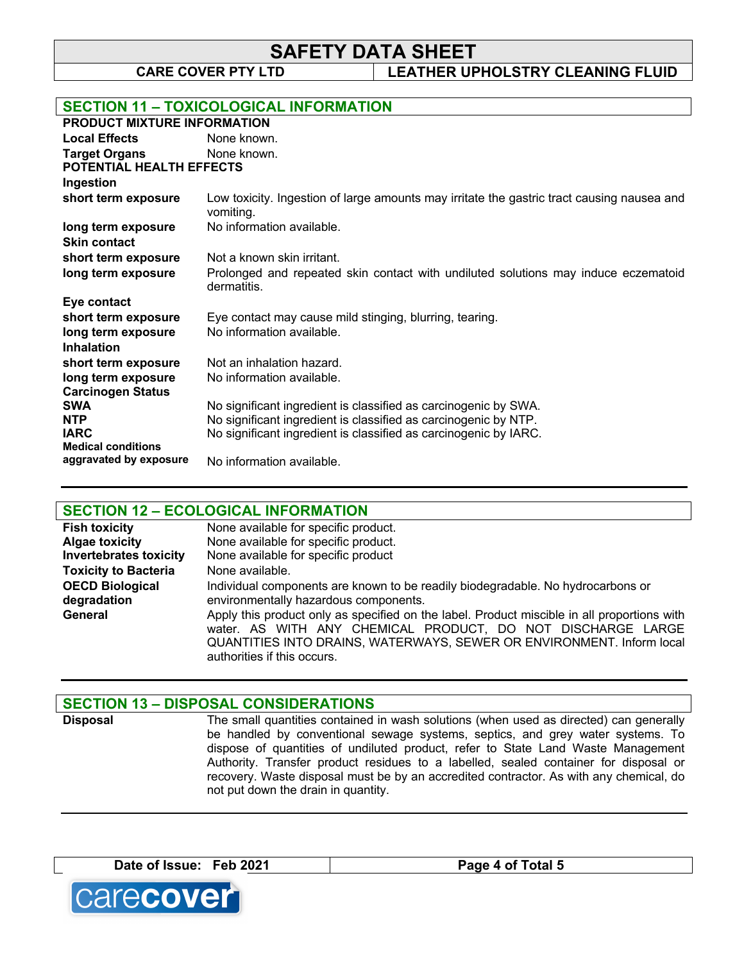**SAFETY DATA SHEET**

**CARE COVER PTY LTD LEATHER UPHOLSTRY CLEANING FLUID**

| <b>SECTION 11 - TOXICOLOGICAL INFORMATION</b>           |                                                                                                         |  |  |
|---------------------------------------------------------|---------------------------------------------------------------------------------------------------------|--|--|
| <b>PRODUCT MIXTURE INFORMATION</b>                      |                                                                                                         |  |  |
| <b>Local Effects</b>                                    | None known.                                                                                             |  |  |
| <b>Target Organs</b><br><b>POTENTIAL HEALTH EFFECTS</b> | None known.                                                                                             |  |  |
| Ingestion                                               |                                                                                                         |  |  |
| short term exposure                                     | Low toxicity. Ingestion of large amounts may irritate the gastric tract causing nausea and<br>vomiting. |  |  |
| long term exposure                                      | No information available.                                                                               |  |  |
| <b>Skin contact</b>                                     |                                                                                                         |  |  |
| short term exposure                                     | Not a known skin irritant.                                                                              |  |  |
| long term exposure                                      | Prolonged and repeated skin contact with undiluted solutions may induce eczematoid<br>dermatitis.       |  |  |
| Eye contact                                             |                                                                                                         |  |  |
| short term exposure                                     | Eye contact may cause mild stinging, blurring, tearing.                                                 |  |  |
| long term exposure<br><b>Inhalation</b>                 | No information available.                                                                               |  |  |
| short term exposure                                     | Not an inhalation hazard.                                                                               |  |  |
| long term exposure<br><b>Carcinogen Status</b>          | No information available.                                                                               |  |  |
| <b>SWA</b>                                              | No significant ingredient is classified as carcinogenic by SWA.                                         |  |  |
| <b>NTP</b>                                              | No significant ingredient is classified as carcinogenic by NTP.                                         |  |  |
| <b>IARC</b>                                             | No significant ingredient is classified as carcinogenic by IARC.                                        |  |  |
| <b>Medical conditions</b><br>aggravated by exposure     | No information available.                                                                               |  |  |

# **SECTION 12 – ECOLOGICAL INFORMATION**

| <b>Fish toxicity</b>          | None available for specific product.                                                                                                                                                                                                                               |
|-------------------------------|--------------------------------------------------------------------------------------------------------------------------------------------------------------------------------------------------------------------------------------------------------------------|
| <b>Algae toxicity</b>         | None available for specific product.                                                                                                                                                                                                                               |
| <b>Invertebrates toxicity</b> | None available for specific product                                                                                                                                                                                                                                |
| <b>Toxicity to Bacteria</b>   | None available.                                                                                                                                                                                                                                                    |
| <b>OECD Biological</b>        | Individual components are known to be readily biodegradable. No hydrocarbons or                                                                                                                                                                                    |
| degradation                   | environmentally hazardous components.                                                                                                                                                                                                                              |
| General                       | Apply this product only as specified on the label. Product miscible in all proportions with<br>water. AS WITH ANY CHEMICAL PRODUCT, DO NOT DISCHARGE LARGE<br>QUANTITIES INTO DRAINS, WATERWAYS, SEWER OR ENVIRONMENT. Inform local<br>authorities if this occurs. |

## **SECTION 13 – DISPOSAL CONSIDERATIONS**

**Disposal** The small quantities contained in wash solutions (when used as directed) can generally be handled by conventional sewage systems, septics, and grey water systems. To dispose of quantities of undiluted product, refer to State Land Waste Management Authority. Transfer product residues to a labelled, sealed container for disposal or recovery. Waste disposal must be by an accredited contractor. As with any chemical, do not put down the drain in quantity.

**Date of Issue: Feb 2021 Page 4 of Total 5**